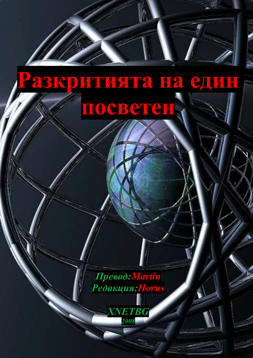# Разкритията на един HOCBETEH

Превод: Martin Редакция: Horus

**XNETBG** 

2008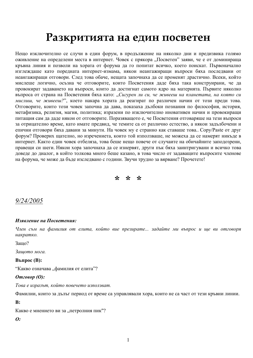# Разкритията на един посветен

Нещо изключително се случи в един форум, в продължение на няколко дни и предизвика голямо оживление на определени места в интернет. Човек с прякора "Посветен" заяви, че е от доминираща кръвна линия и позволи на хората от форума да го попитат всичко, което поискат. Първоначално изглеждаше като поредната интернет-измама, някои неангажиращи въпроси бяха последвани от неангажиращи отговори. След това обаче, нещата започнаха да се променят драстично. Всеки, който мислеше логично, осъзна че отговорите, които Посветения даде бяха така конструирани, че да провокират задаването на въпроси, които да достигнат самото ядро на материята. Първите няколко въпроса от страна на Посветения бяха като: "Сигурен ли си, че живееш на планетата, на която си мислиш, че живееш?", което накара хората да реагират по различен начин от този преди това. Отговорите, които този човек започна да дава, показаха дълбоки познания по философия, история, метафизика, религия, магия, политика; изразени по изключително иновативен начин и провокиращи питащия сам да даде някои от отговорите. Поразяващото е, че Посветения отговаряще на тези въпроси за отрицателно време, като имате предвид, че темите са от различно естество, а някои задълбочени и епични отговори бяха давани за минути. На човек му е странно как ставаше това.. Сору/Paste от друг форум? Проверих щателно, но изречениета, които той използваше, не можеха да се намерят никъде в интернет. Както един човек отбеляза, това беше нещо повече от случаите на обичайните заподозрени, правещи си шеги. Някои хора започнаха да се изнервят, други пък бяха заинтригувани и всичко това доведе до диалог, в който толкова много беше казано, в това число от задаващите въпросите членове на форума, че може да бъде изследвано с години. Звучи трудно за вярване? Прочетете!

 $x^2$   $x^3$ 

# $9/24/2005$

#### Изявление на Посветения:

Член съм на фамилия от елита, който вие презирате... задайте ми въпрос и ще ви отговоря накратко.

Зашо?

Защото мога.

**Въпрос** $(B)$ :

"Какво означава "фамилия от елита"?

#### $Om$ *говор*  $(O)$ :

Това е изразът, който повечето използват.

Фамилии, които за дълъг период от време са управлявали хора, които не са част от тези кръвни линии.

#### $B:$

Какво е мнението ви за "петролния пик"?

 $\boldsymbol{\theta}$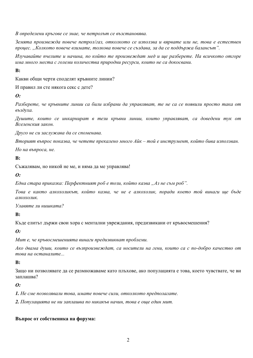В определени кръгове се знае, че петролът се възстановява.

Земята произвежда повече петрол/газ, отколкото се използва и вярвате или не, това е естествен процес. "Колкото повече взимате, толкова повече се създава, за да се поддържа балансът".

Изучавайте пчелите и начина, по който те произвеждат мед и ще разберете. На всичкото отгоре има много места с големи количества природни ресурси, които не са докосвани.

 $\mathbf{B}$ :

Какви общи черти споделят кръвните линии?

И правил ли сте някога секс с дете?

#### $\boldsymbol{\Omega}$ :

Разберете, че кръвните линии са били избрани да управляват, те не са се появили просто така от въздуха.

Душите, които се инкарнират в тези кръвни линии, които управляват, са доведени тук от Вселенския закон

Друго не си заслужава да се споменава.

Вторият въпрос показва, че четете прекалено много Айк – той е инструмент, който бива използван.

Но на въпроса, не.

#### $\mathbf{R}$ :

Съжалявам, но никой не ме, и няма да ме управлява!

#### $\boldsymbol{\theta}$ :

Една стара приказка: Перфектният роб е този, който казва "Аз не съм роб".

Това е както алкохоликът, който казва, че не е алкохолик, поради което той винаги ще бъде алкохолик.

Улавяте ли нишката?

 $\mathbf{R}$ :

Къде елитът държи свои хора с ментални увреждания, предизвикани от кръвосмешения?

 $\boldsymbol{\Omega}$ :

Мит е, че кръвосмешенията винаги предизвикват проблеми.

Ако двама души, които се възпроизвеждат, са носители на гени, които са с по-добро качество от това на останалите...

#### $\mathbf{B}$ :

Защо ни позволявате да се размножаваме като плъхове, ако популацията е това, което чувствате, че ви заплашва?

#### $\boldsymbol{\Omega}$ :

1. Не сме позволявали това, имате повече сили, отколкото предполагате.

2. Популацията не ни заплашва по никакъв начин, това е още един мит.

#### Въпрос от собственика на форума: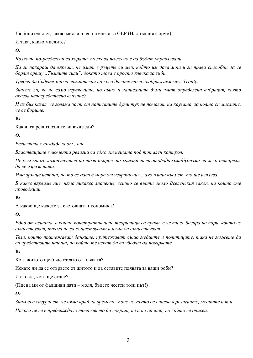Любопитен съм, какво мисли член на елита за GLP (Настоящия форум).

И така, какво мислите?

 $\boldsymbol{\theta}$ 

Колкото по-разделени са хората, толкова по-лесно е да бъдат управлявани.

Да ги накараш да вярват, че имат в ръцете си меч, който им дава мощ и ги прави способни да се борят срешу "Тъмните сили", докато това е просто клечка за зъби.

Трябва да бъдете много внимателни на кого давате този въображаем меч, Trinity.

Знаете ли, че не само изречените, но също и написаните думи имат определена вибрация, която оказва непосредствено влияние?

И аз бих казал, че голяма част от написаните думи тук не помагат на каузата, за която си мислите, че се борите.

 $\mathbf{R}$ :

Какви са религиозните ви възгледи?

 $\boldsymbol{\theta}$ :

Религията е създадена от "нас".

Властващите в момента религии са едно от нешата под тотален контрол.

Не съм много компетентен по този въпрос, но християнството/юдаизма/будизма са леко остарели, да се изразя така.

Има зрънце истина, но то се дави в море от извращения... ако имаш късмет, то ще изплува.

В какво вярваме ние, няма никакво значение, всичко се върти около Вселенския закон, на който сме проводници.

 $\mathbf{R}$ :

А какво ше кажете за световната икономика?

 $\boldsymbol{\theta}$ :

Едно от нещата, в които конспиративните теоритици са прави, е че тя се базира на пари, които не съществуват, никога не са съществували и няма да съществуват.

Тези, които притежават банките, притежават също медиите и политишите, така че можете да си представите начина, по който те искат да ви убедят да повярвате.

 $\mathbf{R}$ :

Кога житото ше бъле отсято от плявата?

Искате ли да се отървете от житото и да оставите плявата за ваши роби?

И ако да, кога ще стане?

(Писна ми от фалшиви дати - моля, бъдете честен този път!)

 $\boldsymbol{\theta}$ :

Знам със сигурност, че няма край на времето, поне не както се описва в религиите, медиите и т.н.

Никога не се е предвиждало това място да свърши, не и по начина, по който се описва.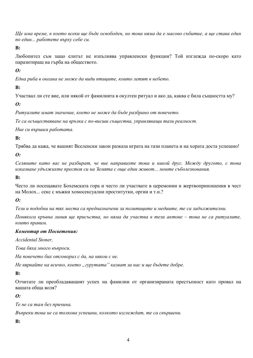Ше има време, в което всеки ще бъде освободен, но това няма да е масово събитие, а ще става един по един... работете върху себе си.

 $B:$ 

Любопител съм защо елитът не изпълнява управленски функции? Той изглежда по-скоро като паразитиращ на гърба на обществото.

 $\boldsymbol{\Omega}$ :

Една риба в океана не може да види птишите, които летят в небето.

 $\mathbf{R}$ 

Участвал ли сте вие, или някой от фамилията в окултен ритуал и ако да, каква е била същността му?

 $\boldsymbol{\theta}$ 

Ритуалите имат значение, което не може да бъде разбрано от повечето.

Те са осъществяване на връзка с по-висши същества, управляващи тази реалност.

Ние си вършим работата.

 $\mathbf{R}$ :

Трябва да кажа, че вашият Вселенски закон разказа играта на тази планета и на хората доста успешно!

 $\boldsymbol{0}$ :

Селяните като вас не разбират, че вие направихте това и никой друг. Между другото, с това изказване удължихте престоя си на Земята с още един живот... моите съболезнования.

 $B:$ 

Често ли посещавате Бохемската гора и често ли участвате в церемонии и жертвоприношения в чест на Молох... секс с мъжки хомосексуални проститутки, оргии и т.н.?

 $\boldsymbol{\theta}$ 

Тези и подобни на тях места са предназначени за политишите и медиите, те са задължителни.

Понякога кръвна линия ше присъства, но няма да участва в тези актове – това не са ритуалите, които правим.

#### Коментар от Посветения:

Accidental Stoner,

Това бяха много въпроси.

На повечето бих отговорил с да, на някои с не.

Не вярвайте на всичко, което "гурутата" казват за нас и ще бъдете добре.

 $\mathbf{R}$ :

Отчитате ли преобладаващият успех на фамилии от организираната престъпност като провал на вашата обща воля?

 $\boldsymbol{\Omega}$ :

Те не са там без причина.

Въпреки това не са толкова успешни, колкото изглеждат, те са свършени.

 $\mathbf{R}$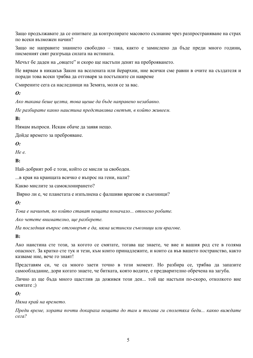Защо продължавате да се опитвате да контролирате масовото съзнание чрез разпространяване на страх по всеки възможен начин?

Защо не направите знанието свободно - така, както е замислено да бъде преди много години, писменият свят разгръща силата на истината.

Мечът бе даден на "овцете" и скоро ще настъпи денят на преброяването.

Не вярвам в никакъв Закон на вселената или йерархии, ние всички сме равни в очите на създателя и поради това всеки трябва да отговаря за постъпките си навреме

Смирените сега са наследници на Земята, моля се за вас.

#### $\boldsymbol{\theta}$ :

Ако такава беше целта, това щеше да бъде направено незабавно.

Не разбирате какво наистина представлява светът, в който живеем.

#### $\mathbf{R}$ :

Нямам въпроси. Искам обаче да заявя нещо.

Дойде времето за преброяване.

#### $\boldsymbol{\theta}$

 $He$   $\rho$ 

#### $\mathbf{R}$ :

Най-добрият роб е този, който се мисли за свободен.

... в края на краищата всичко е въпрос на гени, нали?

Какво мислите за самоклонирането?

Вярно ли е, че планетата е изпълнена с фалшиви врагове и съюзници?

#### $\boldsymbol{\theta}$ :

Това е начинът, по който стават нещата поначало... относно робите.

Ако четете внимателно, ше разберете.

На последния въпрос отговорът е да, няма истински съюзници или врагове.

#### $\mathbf{R}$

Ако наистина сте този, за когото се смятате, тогава ще знаете, че вие и вашия род сте в голяма опасност. За кратко сте тук и тези, към които приналлежите, и които са във вашето постранство, както казваме ние, вече го знаят!

Представям си, че са много заети точно в този момент. Но разбира се, трябва да запазите самообладание, дори когато знаете, че битката, която водите, е предварително обречена на загуба.

Лично аз ще бъда много щастлив да доживея този ден... той ще настъпи по-скоро, отколкото вие смятате:)

#### $\boldsymbol{\theta}$ :

Няма край на времето.

Преди време, хората почти докараха нешата до там и тогава ги сполетяха беди... какво виждате  $ceza?$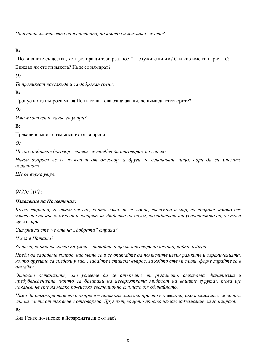Наистина ли живеете на планетата, на която си мислите, че сте?

 $\mathbf{R}$ 

"По-висшите същества, контролиращи тази реалност" – служите ли им? С какво име ги наричате? Виждал ли сте ги някога? Къде се намират?

**O**:

Те проникват навсякъде и са добронамерени.

 $\bf B$ :

Пропуснахте въпроса ми за Пентагона, това означава ли, че няма да отговорите?

 $\boldsymbol{\theta}$ :

Има ли значение какво го удари?

 $\mathbf{R}$ :

Прекалено много измъквания от въпроси.

 $\boldsymbol{\Omega}$ :

Не съм подписал договор, гласящ, че трябва да отговарям на всичко.

Някои въпроси не се нуждаят от отговор, а други не означават нишо, дори да си мислите обратното.

Ще се върна утре.

# $9/25/2005$

#### Изявление на Посветения:

Колко странно, че някои от вас, които говорят за любов, светлина и мир, са същите, които две изречения по-късно ругаят и говорят за убийства на други, самодоволни от убедеността си, че това ше е скоро.

Сигурни ли сте, че сте на "добрата" страна?

И коя е Наташа?

За тези, които са малко по-умни – питайте и ще ви отговоря по начина, който избера.

Преди да зададете въпрос, насилете се и се опитайте да помислите извън рамките и ограниченията. които другите са създали у вас... задайте истински въпрос, за който сте мислили, формулирайте го в детайли.

Относно останалите, ако успеете да се отървете от ругаенето, омразата, фанатизма и предубежденията (които са базирани на невероятната мъдрост на вашите гурута), това ще покаже, че сте на малко по-високо еволюционно стъпало от обичайното.

Няма да отговоря на всички въпроси – понякога, зашото просто е очевидно, ако помислите, че на тях или на части от тях вече е отговорено. Друг път, защото просто нямам задължение да го направя.

 $B:$ 

Бил Гейтс по-високо в йерархията ли е от вас?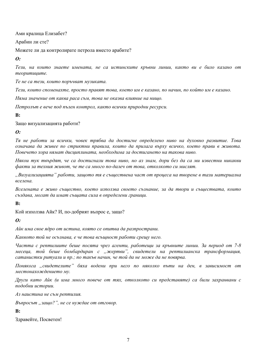Ами кралица Елизабет?

Арабин ли сте?

Можете ли да контролирате петрола вместо арабите?

 $\boldsymbol{\theta}$ :

Тези, на които знаете имената, не са истинските кръвни линии, както ви е било казано от теоритишите.

Те не са тези, които поръчват музиката.

Тези, които споменахте, просто правят това, което им е казано, по начин, по който им е казано.

Няма значение от каква раса съм, това не оказва влияние на нищо.

Петролът е вече под пълен контрол, както всички природни ресурси.

 $\mathbf{R}$ :

Защо визуализацията работи?

 $\boldsymbol{o}$ :

Тя не работи за всички, човек трябва да достигне определено ниво на духовно развитие. Това означава да живее по стриктни правила, които да прилага върху всичко, което прави в живота. Повечето хора нямат дисциплината, необходима за достигането на такова ниво.

Някои тук твърдят, че са достигнали това ниво, но аз знам, дори без да са ми известни никакви факти за техния живот, че те са много по-далеч от това, отколкото си мислят.

"Визуализацията" работи, защото тя е съществена част от процеса на творене в тази материална вселена.

Вселената е живо същество, което използва своето съзнание, за да твори и съществата, които създава, могат да имат същата сила в определени граници.

 $B:$ 

Кой използва Айк? И, по-добрият въпрос е, защо?

 $\boldsymbol{0}$ :

Айк има свое ядро от истина, която се опитва да разпространи.

Каквото той не осъзнава, е че това всъщност работи срещу него.

Частта с рептилиите беше посята чрез агенти, работеши за кръвните линии. За период от 7-8 месеца, той беше бомбардиран с "жертви", свидетели на рептилианска трансформация, сатанистки ритуали и пр.; по такъв начин, че той да не може да не повярва.

Понякога "свидетелите" бяха водени при него по няколко пъти на ден, в зависимост от местонахождението му.

Други като Айк (и има много повече от тях, отколкото си представяте) са били захранвани с подобни истории.

Аз наистина не съм рептилия.

Въпросът "защо?", не се нуждае от отговор.

#### $\mathbf{B}$ :

Злравейте. Посветен!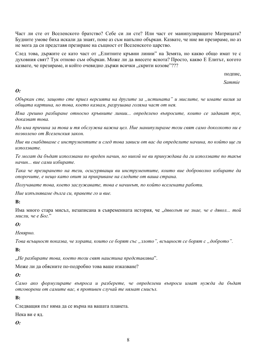Част ли сте от Вселенското братство? Себе си ли сте? Или част от манипулиращите Матрицата? Будните умове биха искали да знаят, поне аз съм напълно объркан. Казвате, че ние ви презираме, но аз не мога да си представя презиране на същност от Вселенското царство.

След това, държите се като част от "Елитните кръвни линии" на Земята, но какво общо имат те с духовния свят? Тук отново съм объркан. Може ли да внесете яснота? Просто, какво Е Елитът, когото казвате, че презираме, и който очевидно държи всички "скрити козове"???

полпис.

Sammie

#### $\boldsymbol{o}$ :

Объркан сте, защото сте приел версията на другите за "истината" и мислите, че имате визия за обшата картина, но това, което казвам, разрушава голяма част от нея.

Има грешно разбиране относно кръвните линии... определено въпросите, които се задават тук, доказват това.

Но има причина за това и тя обслужва важна цел. Ние манипулираме този свят само доколкото ни е позволено от Вселенския закон.

Ние ви снабдяваме с инструментите и след това зависи от вас да определите начина, по който ще ги използвате.

Те могат да бъдат използвани по вреден начин, но никой не ви принуждава да ги използвате по такъв начин... вие сами избирате.

Така че презирането на тези, осигуряваши ви инструментите, които вие доброволно избирате да опорочите, е нещо като опит за прикриване на следите от ваша страна.

Получавате това, което заслужавате, това е начинът, по който вселената работи.

Ние изпълняваме дълга си, правете го и вие.

#### $\bf{B}$

Има много стара мисъл, незаписана в съвременната история, че "дяволът не знае, че е дявол... той мисли, че е Бог."

#### $\boldsymbol{\theta}$ :

Невярно.

Това всъщност показва, че хората, които се борят със "злото", всъщност се борят с "доброто".

 $\mathbf{R}$ 

"Не разбирате това, което този свят наистина представлява".

Може ли да обясните по-подробно това ваше изказване?

#### $\boldsymbol{\theta}$ :

Само ако формулирате въпроса и разберете, че определени въпроси имат нужда да бъдат отговорени от самите вас, в противен случай те нямат смисъл.

#### $\mathbf{R}$ :

Следващия път няма да се върна на вашата планета.

Нека ви е ял

#### $\boldsymbol{\theta}$ :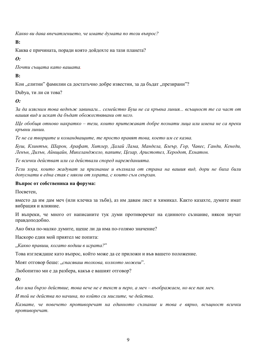Какво ви дава впечатлението, че имате думата по този въпрос?

#### $\mathbf{R}$ :

Каква е причината, поради която дойдохте на тази планета?

#### $\boldsymbol{\theta}$ :

Почти същата като вашата.

#### $\bf{B}$ :

Кои "елитни" фамилии са достатъчно добре известни, за да бъдат "презирани"?

Dubya, ти ли си това?

 $\boldsymbol{0}$ :

За да изясним това веднъж завинаги... семейство Буш не са кръвна линия... всъщност те са част от вашия вид и искат да бъдат обожествявани от него.

Ше обобшя отново накратко – тези, които притежават добре познати лица или имена не са преки кръвни линии.

Те не са твориите и командващите, те просто правят това, което им се казва.

Буш, Клинтън, Шарон, Арафат, Хитлер, Далай Лама, Мандела, Блеър, Гор, Чавес, Ганди, Кенеди, Ленън, Дилън, Айншайн, Микеланджело, папите, Цезар, Аристотел, Херодот, Ехнатон.

Те всички действат или са действали според нарежданията.

Тези хора, които жадуват за признание и възхвала от страна на вашия вид, дори не биха били допуснати в една стая с някои от хората, с които съм свързан.

#### Въпрос от собственика на форума:

Посветен,

вместо да им дам меч (или клечка за зъби), аз им давам лист и химикал. Както казахте, думите имат вибрация и влияние.

И въпреки, че много от написаните тук думи противоречат на единното съзнание, някои звучат правдоподобно.

Ако бяха по-малко думите, щеше ли да има по-голямо значение?

Наскоро един мой приятел ме попита:

"Какво правиш, когато водиш в играта?"

Това изглеждаше като въпрос, който може да се приложи и във вашето положение.

Моят отговор беше: "спасяваш толкова, колкото можеш".

Любопитно ми е да разбера, какъв е вашият отговор?

#### $\boldsymbol{\Omega}$ :

Ако има бързо действие, това вече не е текст и перо, а меч – въображаем, но все пак меч.

И той не действа по начина, по който си мислите, че действа.

Казвате, че повечето противоречат на единното съзнание и това е вярно, всъщност всички противоречат.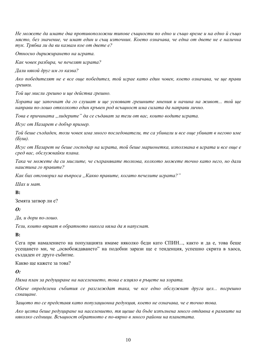Не можете да имате два противоположни типове същности по едно и също време и на едно й също място, без значение, че имат един и същ източник. Което означава, че една от двете не е налична тук. Трябва ли да ви казвам кое от двете е?

Относно дирижирането на играта.

Как човек разбира, че печелят играта?

Дали някой друг им го казва?

Ако победителят не е все още победител, той играе като един човек, което означава, че ще прави грешки.

Той ще мисли грешно и ще действа грешно.

Хората ще започнат да го слушат и ще усвояват грешните мнения и начина на живот... той ще направи по-лошо отколкото един кръвен род всъщност има силата да направи лично.

Това е причината "лидерите" да се съдават за тези от вас, които водите играта.

Исус от Назарет е добър пример.

Той беше създаден, този човек има много последователи, те са убивали и все още убиват в негово име  $(Bvu).$ 

Исус от Назарет не беше господар на играта, той беше марионетка, използвана в играта и все оше е сред вас, обслужвайки плана.

Така че можете да си мислите, че съхранявате толкова, колкото можете точно като него, но дали наистина го правите?

Как бих отговорил на въпроса "Какво правите, когато печелите играта?"

Шах и мат.

#### $\mathbf{R}$ :

Земята затвор ли е?

#### $\boldsymbol{\theta}$ :

Да, и дори по-лошо.

Тези, които вярват в обратното никога няма да я напуснат.

 $\mathbf{B}$ :

Сега при намалението на популацията имаме няколко беди като СПИН..., както и да е, това беше усещането ми, че "освобождаването" на подобни зарази ще е тенденция, успешно скрита в хаоса, създаден от друго събитие.

Какво ше кажете за това?

 $\boldsymbol{\theta}$ :

Няма план за редуширане на населението, това е изияло в ръцете на хората.

Обаче определени събития се разглеждат така, че все едно обслужват друга цел... погрешно схващане.

Защото то се представя като популационна редукция, което не означава, че е точно това.

Ако иелта беше редуширане на населението, тя шеше да бъде изпълнена много отдавна в рамките на няколко седмици. Всъщност обратното е по-вярно в много райони на планетата.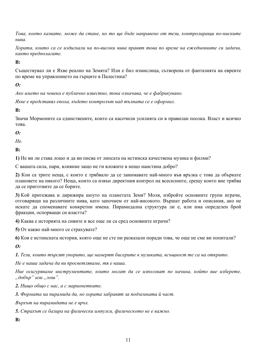Това, което казвате, може да стане, но то ще бъде направено от тези, контролиращи по-ниските нива.

Хората, които са се издигнали на по-високи нива правят това по време на ежедневните си задачи, както предполагате.

 $\mathbf{R}$ 

Съществувал ли е Яхве реално на Земята? Или е бил измислица, сътворена от фантазията на евреите по време на управлението на гърците в Палестина?

#### $\boldsymbol{\theta}$ :

Ако името на човека е публично известно, това означава, че е фабрикувано.

Яхве е представял епоха, където контролът над тълпата се е оформил.

 $\mathbf{R}$ :

Значи Мормоните са единствените, които са насочили усилията си в правилан посока. Власт и всичко това

#### $\boldsymbol{\Omega}$ :

 $He$ 

 $\mathbf{R}$ 

1) Не ви ли става лошо и да ви писва от липсата на истинска качествена музика и филми?

С вашата сила, пари, влияние защо не ги вложите в нещо наистина добро?

2) Кои са трите неща, с които е трябвало да се занимавате най-много във връзка с това да объркате плановете на някого? Неща, които са извън директния контрол на всесилните, срещу които вие трябва да се приготвите да се борите.

3) Кой притежава и дирижира шоуто на планетата Земя? Моля, избройте основните групи играчи, отговарящи на различните нива, като започнем от най-високото. Вършат работа и описания, ако не искате да споменавате конкретни имена. Пирамидална структура ли е, или има определен брой фракции, оспорващи си властта?

4) Каква е историята на сивите и все още ли са сред основните играчи?

5) От какво най-много се страхувате?

6) Коя е истинската история, която още не сте ни разказали поради това, че още не сме ви попитали?

 $\boldsymbol{\theta}$ :

1. Тези, които търсят упорито, ще намерят бисерите в музиката, всъщност те са на открито.

Не е наша задача да ви просветляваме, тя е ваша.

Ние осигуряваме инструментите, които могат да се използват по начина, който вие изберете, "добър" или "лош".

2. Нищо общо с нас, а с марионетките.

3. Формата на пирамида да, но хората забравят за подземната й част.

Върхът на пирамидата не е връх.

5. Страхът се базира на физически импулси, физическото не е важно.

 $\mathbf{R}$ :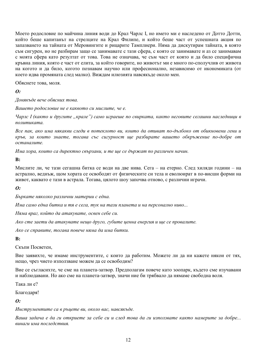Моето родословие по майчина линия води до Крал Чарлс I, но името ми е наследено от Дотто Дотти, който беше капитанът на стрелците на Крал Филипе, и който беше част от успешната акция по запазването на тайната от Меровингите и рицарите Тамплиери. Няма да дискутирам тайната, в която съм сигурен, но не разбирам защо се занимавате с тази сфера, с която се занимавате и аз се занимавам с моята сфера като резултат от това. Това не означава, че съм част от която и да било специфична кръвна линия, която е част от елита, за който говорите, но животът ми е много по-сполучлив от живота на когото и да било, когото познавам научно или професионално, независимо от икономиката (от което идва промяната след малко). Виждам илюзията навсякъде около мен.

Обяснете това, моля.

#### $\boldsymbol{\theta}$

Донякъде вече обясних това.

Вашето родословие не е каквото си мислите, че е.

Чарлс I (както и другите "крале") само играеше по свирката, както неговите сегашни наследници в политиката.

Все пак, ако има някакви следи в потеклото ви, които да отиват по-дълбоко от обикновени гени и кръв, за които знаете, тогава със сигурност ще разбирате вашето обкръжение по-добре от останалите.

Има хора, които са директно свързани, и те ще се държат по различен начин.

 $\mathbf{R}$ :

Мислите ли, че тази сегашна битка се води на две нива. Сега – на етерно. След хиляди години – на астрално, веднъж, щом хората се освободят от физическите си тела и еволюират в по-висши форми на живот, каквато е тази в астрала. Тогава, цялото шоу започва отново, с различни играчи.

 $\boldsymbol{o}$ :

Бъркате няколко различни материи с една.

Има само една битка и тя е сега, тук на тази планета и на персонално ниво...

Няма враг, който да атакувате, освен себе си.

Ако сте заети да атакувате нещо друго, губите ценна енергия и ще се провалите.

Ако се справите, тогава повече няма да има битки.

#### $\bf{B}$

Скъпи Посветен.

Вие заявихте, че имаме инструментите, с които да работим. Можете ли да ни кажете някои от тях, нещо, чрез чието използване можем да се освободим?

Вие се съгласихте, че сме на планета-затвор. Предполагам повече като зоопарк, където сме изучавани и наблюдавани. Но ако сме на планета-затвор, значи ние би трябвало да нямаме свободна воля.

Така ли е?

Благодаря!

 $\boldsymbol{\theta}$ 

Инструментите са в ръцете ви, около вас, навсякъде.

Ваша задача е да ги откриете за себе си и след това да ги използвате както намерите за добре... винаги има последствия.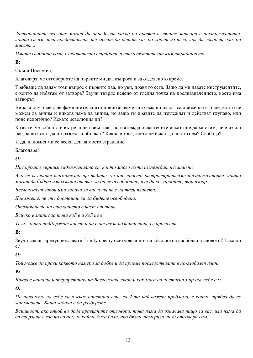Затворниците все още могат да определят какво да правят в своите затвори с инструментите, които са им били предоставени, те могат да решат как да ходят из него, как да говорят, как да мислят...

Имате свободна воля, следователно страдате и сте чувствителни към страданието.

 $\mathbf{R}$ 

Скъпи Посветен

Благодаря, че отговорихте на първите ми два въпроса и за отделеното време.

Трябваше да задам този въпрос с първите два, но уви, правя го сега. Защо да ми давате инструментите, с които да избягам от затвора? Звучи твърде неясно от гледна точка на предназначението, което има затворът.

Винаги съм знаел, че фамилиите, които припознаваме като имащи власт, са движени от ръце, които не можем да видим и никога няма да видим, но защо ги правите да изглеждат и действат глупаво, или поне нелогично? Искате революция ли?

Казвате, че войната е вътре, а не извън нас, но изглежда овластените искат ние да мислим, че е извън нас, защо искат да ни разсеят и объркат? Какво е това, което не искат да постигнем? Свобода?

И да, напомня ми се всеки ден за моето страдание.

Благодаря!

#### $\boldsymbol{\Omega}$ :

Ние просто вършим задълженията си, които много пъти изглеждат негативни.

Ако се вгледате внимателно ще видите, че ние просто разпространяваме инструментите, които могат да бъдат използвани от вас, за да се освободите, или да се заробите, ваш избор.

Вселенският закон има задача за вас и тя не е на тази планета.

Локажете, че сте достойни, за да бъдете освободени.

Отвличането на вниманието е част от това.

Всичко е знание за това кой е и кой не е.

Тези, които поддържат което и да е от тези познати лица, се провалят.

 $\mathbf{R}$ 

Звучи сакаш предупреждавате Trinity срещу осигуряването на абсолютна свобода на словото? Така ли  $e^{\gamma}$ 

#### $\boldsymbol{\Omega}$ :

Той може да прави каквото намери за добре и да приеме последствията в по-глобален план.

 $\mathbf{B}$ :

Каква е вашата интерпретация на Вселенския закон и как мога да постигна мир със себе си?

 $\boldsymbol{\theta}$ :

Познаването на себе си и къде наистина сте, са 2-та най-важни проблема, с които трябва да се занимавате. Ваша задача е да разберете.

Всъшност, ако някой ви даде правилните отговори, това няма да означава нишо за вас, или няма да са свързани с вас по начин, по който биха били, ако бяхте намерили тези отговори сам.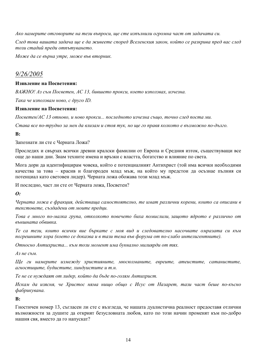Ако намерите отговорите на тези въпроси, ще сте изпълнили огромна част от задачата си.

След това вашата задача ще е да живеете според Вселенския закон, който се разкрива пред вас след този стадий преди отпътуването.

Може да се върна утре, може във вторник.

# $9/26/2005$

#### Изявление на Посветения:

ВАЖНО! Аз съм Посветен, АС 13, бившето прокси, което използвах, изчезна,

Така че използвам ново, с друго ID.

#### Изявление на Посветения:

Посветен/АС 13 отново, и ново прокси... последното изчезна също, точно след поста ми.

Става все по-трудно за мен да влизам и стоя тук, но ще го правя колкото е възможно по-дълго.

#### $\mathbf{R}$

Запознати ли сте с Черната Ложа?

Проследих и свързах всички древни кралски фамилии от Европа и Средния изток, съществуващи все още до наши дни. Знам техните имена и връзки с властта, богатство и влияние по света.

Мога дори да идентифицирам човека, който е потенциалният Антихрист (той има всички необходими качества за това - красив и благороден млад мъж, на който му предстои да осъзнае пълния си потенциал като световен лидер). Черната ложа обожава този млад мъж.

И последно, част ли сте от Черната ложа, Посветен?

 $\boldsymbol{\Omega}$ :

Черната ложа е фракция, действаща самостоятелно, те имат различни корени, които са описани в текстовете, създадени от моите предци.

Това е много по-малка група, отколкото повечето биха помислили, зашото ядрото е различно от външната обвивка.

Те са тези, които всички вие бъркате с моя вид и следователно насочвате омразата си към погрешните хора (което се доказва и в тази тема във форума от по-слабо интелигентните).

Относно Антихриста... към този момент има буквално милиярди от тях.

Аз не съм.

Ще ги намерите измежду християните, мюсюлманите, евреите, атеистите, сатанистите, агностиците, будистите, хиндуистите и т.н.

Те не се нуждаят от лидер, който да бъде по-голям Антихрист.

Искам да изясня, че Христос няма нишо общо с Исус от Назарет, тази част беше по-късно фабрикувана.

#### $\mathbf{B}$ :

Гностичен номер 13, съгласен ли сте с възгледа, че нашата дуалистична реалност предоставя отлични възможности за душите да открият безусловната любов, като по този начин променят към по-добро нашия свя, вместо да го напускат?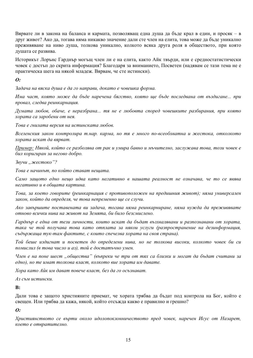Вярвате ли в закона на баланса и кармата, позволяващ една душа да бъде крал в един, и просяк – в друг живот? Ако да, тогава няма никакво значение дали сте член на елита, това може да бъде уникално преживяване на ниво душа, толкова уникално, колкото всяка друга роля в обществото, при която душата се развива.

Историкът Лорънс Гарднър могъщ член ли е на елита, както Айк твърди, или е средностатистически човек с достъп до скрита информация? Благодаря за вниманието, Посветен (надявам се тази тема не е практическа шега на някой младеж. Вярвам, че сте истински).

**O**:

Задача на вяска душа е да го направи, докато е човешка форма.

Има част, която може да бъде наречена бягство, която ще бъде последвана от въздигане... при провал, следва реинкарнация.

Думата любов, обаче, е неразбрана... тя не е любовта според човешките разбирания, при която хората са заробени от нея.

Това е гнилата версия на истинската любов.

Вселенския закон контролира т.нар. карма, но тя е много по-всеобхватна и жестока, отколкото хората искат да вярват.

Пример: Някой, който се разболява от рак и умира бавно и мъчително, заслужава това, този човек е бил коригиран за негово добро.

Звучи "жестоко"?

Това е начинът, по който стават нешата.

Само защото едно нещо идва като негативно в нашата реалност не означава, че то се явява негативно и в обшата картина.

Това, за което говорите (реинкарнация с противоположен на предишния живот); няма универсален закон, който да определя, че това непременно ще се случи.

Ако завършите поставената ви задача, тогава няма реинкарниране, няма нужда да преживявате отново всички нива на живот на Земята, би било безсмислено.

Гарднър е една от тези личности, които искат да бъдат възхвалявани и разпознавани от хората, така че той получава това като отплата за някои услуги (разпространение на дезинформация, съдържаща тук-там фактите, с които спечелва хората на своя страна).

Той беше издигнат и посветен до определени нива, но не толкова високи, колкото човек би си помислил (в това число и аз), той е достатьчно умен.

Член е на поне шест "общества" (въпреки че три от тях са близки и могат да бъдат считани за едно), но те имат толкова власт, колкото вие хората им давате.

Хора като Айк им дават повече власт, без да го осъзнават.

Аз съм истински.

 $\mathbf{R}$ :

Дали това е защото християните приемат, че хората трябва да бъдат под контрола на Бог, който е свешен. Или трябва да кажа, някой, който отсъжда какво е правилно и грешно?

#### $\boldsymbol{\theta}$ :

Християнството се върти около идолопоклонничеството пред човек, наречен Исус от Назарет, което е отвратително.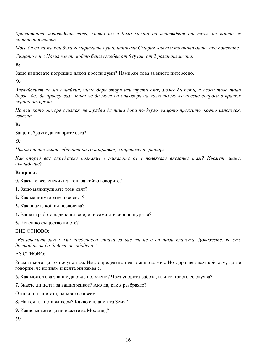Християните изповядват това, което им е било казано да изповядват от тези, на които се противопоставят.

Мога да ви кажа кои бяха четиримата души, написали Стария завет и точната дата, ако поискате.

Същото е и с Новия завет, който беше сглобен от 6 души, от 2 различни места.

#### $\mathbf{R}$

Защо изписвате погрешно някои прости думи? Намирам това за много интересно.

#### $\boldsymbol{o}$ :

Английският не ми е майчин, нито дори втори или трети език, може би пети, а освен това пиша бързо, без да проверявам, така че да мога да отговоря на колкото може повече въпроси в кратък период от време.

На всичкото отгоре осъзнах, че трябва да пиша дори по-бързо, защото проксито, което използвах, изчезна

#### $\mathbf{R}$ :

Защо избрахте да говорите сега?

#### $\boldsymbol{\theta}$

Някои от нас имат задачата да го направят, в определени граници.

Как според вас определено познание в миналото се е появявало внезапно там? Късмет, шанс, съвпадение?

#### Въпроси:

- 0. Какъв е вселенският закон, за който говорите?
- 1. Защо манипулирате този свят?
- 2. Как манипулирате този свят?
- 3. Как знаете кой ви позволява?
- 4. Вашата работа дадена ли ви е, или сами сте си я осигурили?
- 5. Човешко същество ли сте?

#### **BUE OTHOBO:**

"Вселенският закон има предвидена задача за вас тя не е на тази планета. Докажете, че сте достойни, за да бъдете освободени."

#### A3 OTHOBO:

Знам и мога да го почувствам. Има определена цел в живота ми... Но дори не знам кой съм, да не говорим, че не знам и целта ми каква е.

6. Как може това знание да бъде получено? Чрез упорита работа, или то просто се случва?

7. Знаете ли целта за вашия живот? Ако да, как я разбрахте?

Относно планетата, на която живеем:

- 8. На коя планета живеем? Какво е планетата Земя?
- 9. Какво можете да ни кажете за Мохамед?

 $\boldsymbol{\theta}$ :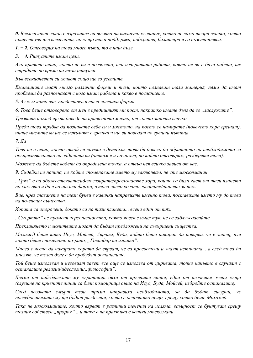0. Вселенският закон е изразител на волята на висшето съзнание, което не само твори всичко, което съществува във вселената, но също така поддържа, подхранва, балансира и го възстановява.

 $1. + 2.$  Отговорих на това много пъти, то е наш дълг.

 $3. + 4.$  Ритуалите имат цели.

Ако правите нещо, което не ви е позволено, или извършвате работа, която не ви е била дадена, ще страдате по време на тези ритуали.

Във всекидневния си живот също ще го усетите.

Еманациите имат много различни форми и тези, които познават тази материя, няма да имат проблеми да разпознават с кого имат работа и какво е посланието.

5. Аз съм като вас, представен в тази човешка форма.

6. Това беше отговорено от мен в предишният ми пост, накратко имате дълг да го "заслужите".

Трезвият поглед ще ви доведе на правилното място, от което започва всичко.

Преди това трябва да познавате себе си и мястото, на което се намирате (повечето хора грешат), иначе мислите ви ще се изпълнят с грешки и ще ви поведат по грешни пътища.

 $7. \textit{Ia}$ 

Това не е нешо, което някой ви спуска в детайли, това би довело до обратното на необходимото за осъществяването на задачата ви (оттам е и начинът, по който отговарям, разберете това).

Можете да бъдете водени до определена точка, а отвъд нея всичко зависи от вас.

9. Съдейки по начина, по който споменавате името му заключвам, че сте мюсюлманин.

"Грях" е да обожествявате/идологизирате/превъзнасяте хора, които са били част от тази планета по какъвто и да е начин или форма, в това число когато говорите/пишете за тях.

Вие, чрез слагането на тези букви в кавички направихте именно това, поставихте името му до това на по-висши същества.

Хората са опорочени, докато са на тази планета... всеки един от тях.

"Смъртта" не променя персоналността, която човек е имал тук, не се заблуждавайте.

Прекланянето и молитвите могат да бъдат предложени на съвършени същества.

Мохамед беше като Исус, Мойсей, Авраам, Буда, който беше накаран да повярва, че е знаещ, или както беше споменато по-рано, "Господар на играта".

Много е лесно да накарате хората да вярват, че са просветени и знаят истината... а след това да мислят, че техен дълг е да пробудят останалите.

Той беше използван и неговият завет все още се използва от иърквата, точно какъвто е случаят с останалите религии/идеологии/, философии".

Двама от най-близките му съратници бяха от кръвните линии, една от неговите жени също (слугите на кръвните линии са били помощници също на Исус, Буда, Мойсей, избройте останалите).

След неговата смърт тези трима направиха необходимото, за да бъдат сигурни, че последователите му ще бъдат разделени, което е основното нещо, срещу което беше Мохамед.

Така че мюсюлманите, които вярват в различни течения на исляма, всъщност се бунтуват срещу техния собствен "пророк"... и така е на практика с всички мюсюлмани.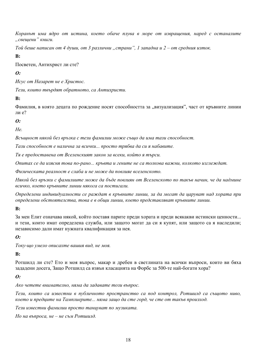Коранът има ядро от истина, което обаче плува в море от изврашения, наред с останалите "свещени" книги.

Той беше написан от 4 души, от 3 различни "страни", 1 западна и 2 – от средния изток.

 $\mathbf{R}$ :

Посветен, Антихрист ли сте?

 $\boldsymbol{\Omega}$ :

Исус от Назарет не е Христос.

Тези, които твърдят обратното, са Антихристи.

 $B:$ 

Фамилия, в която децата по рождение носят способността за "визуализация", част от кръвните линии пи е $\sqrt{2}$ 

 $\boldsymbol{\Omega}$ 

 $H\rho$ 

Всъщност някой без връзка с тези фамилии може също да има тази способност.

Тази способност е налична за всички... просто трябва да си я набавите.

Тя е предоставена от Вселенският закон за всеки, който я търси.

Опитах се да изясня това по-рано... кръвта и гените не са толкова важни, колкото изглеждат.

Физическата реалност е слаба и не може да повлияе вселенското.

Някой без връзки с фамилиите може да бъде повлиян от Вселенското по такъв начин, че да надмине всичко, което кръвните линии някога са постигали.

Определени индивидуалности се раждат в кръвните линии, за да могат да царуват над хората при определени обстоятелства, това е в общи линии, което представляват кръвните линии.

#### $\mathbf{B}$ :

За мен Елит означава някой, който поставя парите преди хората и преди всякакви истински ценности... и тези, които имат определена служба, или защото могат да си я купят, или защото са я наследили; независимо дали имат нужната квалификация за нея.

#### $\boldsymbol{\theta}$

Току-що умело описахте вашия вид, не моя.

#### $B:$

Ротшилд ли сте? Ето и моя въпрос, макар и дребен в светлината на всички въпроси, които ви бяха зададени досега, Защо Ротшилд са извън класацията на Форбс за 500-те най-богати хора?

#### $\boldsymbol{\Omega}$ :

Ако четете внимателно, няма да задавате този въпрос.

Тези, които са известни в публичното пространство са под контрол, Ротшилд са същото ниво, което и предците на Тамплиерите... няма защо да сте горд, че сте от такъв произход.

Тези известни фамилии просто танцуват по музиката.

Но на въпроса, не – не съм Ротшилд.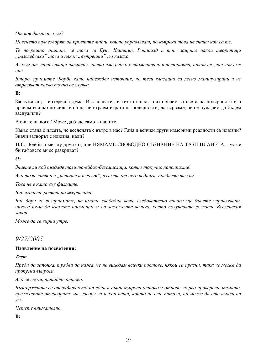От коя фамилия съм?

Повечето тук говорят за кръвните линии, които управляват, но въпреки това не знаят кои са те.

Те погрешно считат, че това са Буш, Клинтън, Ротшилд и т.н., защото някои теоритици "разследваха" това и някои "вътрешни" им казаха.

Аз съм от управляваща фамилия, чието име рядко е споменавано в историята, никой не знае кои сме  $Hue$ 

Второ, приемате Форбс като надежден източник, но тези класации са лесно манипулирани и не отразяват какво точно се случва.

#### $\mathbf{R}$ :

Заслужаващ... интересна дума. Изключвате ли тези от нас, които знаем за света на полярностите и правим всичко по силите си да не играем играта на полярности, да вярваме, че се нуждаем да бъдем заслужили?

В очите на кого? Може да бъде само в нашите.

Какво стана с идеята, че вселената е вътре в нас? Гайа и всички други измерими реалности са илюзии? Значи затворът е илюзия, нали?

П.С.: Бейби и между другото, ние НЯМАМЕ СВОБОДНО СЪЗНАНИЕ НА ТАЗИ ПЛАНЕТА... може би гафовете ви се разкриват?

#### $\boldsymbol{\Omega}$ :

Знаете ли кой създаде тази ню-ейдж-безсмислица, която току-що лансирахте?

Ако този затвор е "истинска илюзия", излезте от него веднага, предизвиквам ви.

Това не е като във филмите.

Вие играете ролята на жертвата.

Вие дори не възприемате, че имате свободна воля, следователно винаги ше бъдете управлявани, никога няма да вземете надмощие и да заслужите всичко, което получавате съгласно Вселенския закон

Може да се върна утре.

### $9/27/2005$

#### Изявление на посветения:

#### **Tecm**

Преди да започна, трябва да кажа, че не виждам всички постове, някои са празни, така че може да пропусна въпроси.

Ако се случи, питайте отново.

Въздържайте се от задаването на едни и същи въпроси отново и отново, първо проверете темата, прегледайте отговорите ми, говоря за някои неша, които не сте питали, но може да сте имали на  $\mathcal{V}\mathcal{M},$ 

Четете внимателно.

 $\mathbf{B}$ :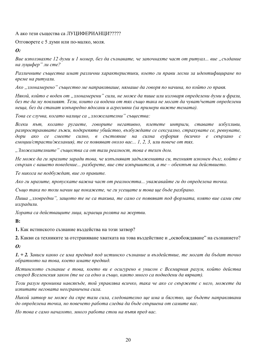#### А ако тези същества са ЛУЦИФЕРИАНЦИ?????

Отговорете с 5 думи или по-малко, моля.

```
\boldsymbol{\Omega}:
```
Вие използвахте 12 думи и 1 номер, без да съзнавате, че започнахте част от ритуал... вие "създание на лушифер" ли сте?

Различните същества имат различни характеристики, което ги прави лесни за идентифициране по време на ритуали.

Ако "злонамерено" същество ме направляваше, нямаше да говоря по начина, по който го правя.

Някой, който е воден от "злонамерени" сили, не може да пише или изговаря определени думи и фрази, без те да му повлияят. Тези, които са водени от тях също така не могат да чуват/четат определени неща, без да станат извънредно ядосани и агресивни (за примери вижте темата).

Това се случва, когато налице са "зложелателни" същества:

Всеки път, когато ругаете, говорите негативно, плетете интриги, ставате избухливи, разпространявате лъжи, подкрепяте убийство, възбуждате се сексуално, страхувате се, ревнувате, дори ако се смеете силно, в състояние на силна еуфория (всичко е свързано с емоции/страсти/желания), те се появяват около вас... 1, 2, 3, или повече от тях.

"Зложелателните" същества са от тази реалност, това е техен дом.

Не може да ги мразите заради това, че изпълняват задълженията си, техният изконен дълг, който е свързан с вашето поведение... разберете, вие сте извършителя, а те – обектът на действието.

Те никога не подбуждат, вие го правите.

Ако ги мразите, пропускате важна част от реалността... уважавайте ги до определена точка.

Също така по този начин ще покажете, че ги усещате и това ще бъде разбрано.

Пиша "зловредни", зашото те не са такива, те само се появяват под формата, която вие сами сте изградили.

Хората са действашите лииа, играеши ролята на жертви.

 $\mathbf{R}$ :

1. Как истинското съзнание въздейства на този затвор?

2. Какви са техниките за отстраняване хватката на това въздействие и "освобождаване" на съзнанието?  $\boldsymbol{\theta}$ :

1. + 2. Зависи какво се има предвид под истинско съзнание и въздействие, те могат да бъдат точно обратното на това, което имате предвид.

Истинското съзнание е това, което ви е осигурено в унисон с Всемирния разум, който действа според Вселенския закон (те не са едно и също, както много са подведени да вярват).

Този разум прониква навсякъде, той управлява всичко, така че ако се свържете с него, можете да изпитате неговата неограничена сила.

Никой затвор не може да спре тази сила, следователно ще има и бягство, ще бъдете направлявани до определена точка, но повечето работа следва да бъде свършена от самите вас.

Но това е само началото, много работа стои на пътя пред вас.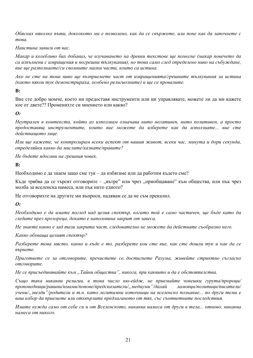Обясних няколко пъти, доколкото ми е позволено, как да се свържете, или поне как да започнете с това.

#### Наистина зависи от вас.

Макар и колебливо бих добавил, че изучаването на древни текстове ще помогне (макар повечето да са изпълнени с извращения и погрешни тълкувания), но това само след определено ниво на събуждане, вие ше разпознаете/си спомните малки части, които са истина.

Ако не сте на това ниво ще възприемете част от извращенията/грешните тълкувания за истина (както някои тук демонстрираха, особено религиозните) и ще се провалите.

 $B:$ 

Вие сте добро момче, което ни предоставя инструменти или ни управлявате, можете ли да ми кажете кое от двете?? Променихте си мнението или какво?

#### **O**:

Неутрален в контекста, който аз използвам означава нито негативен, нито позитивен, а просто предоставящ инструментите, които вие можете да изберете как да използвате... вие сте действашото лиие.

Или ще кажете, че контролирам всеки аспект от вашия живот, всеки час, минута и дори секунда, определяйки какво да мислите/казвате/правите?

Не бъдете ядосани на грешния човек.

#### $\mathbf{R}$ :

Необходимо е да знаем защо сме тук – да избягаме или да работим където сме?

Къде трябва да се търсят отговорите – "вътре" или чрез "приобщаване" към общества, или пък чрез молба за вселенска намеса, или пък нито едното?

Не отговорихте на другите ми въпроси, надявам се да не съм прекалил.

#### $\boldsymbol{\theta}$ :

Необходимо е да имате поглед над целия спектър, когато той е само частичен, ще бъде като да гледате през прозореца, докато е наполовина закрит от завеса.

Не знаете какво е зад тази закрита част, следователно не можете да действате съобразно него.

Какво обхваша иелият спектьр?

Разберете това място, какво и къде е то, разберете кои сте вие, как сте дошли тук и как да се върнете.

Пригответе се за отговорите, пречистете се, достигнете Разума, живейте стриктно съгласно отговорите.

Не се присъединявайте към "Тайни общества", никога, при каквито и да е обстоятелства.

Също така никакви религии, в това число ню-ейдж, не приемайте човешки гурута/пророци/ проповедници/равини/имами/попове/предсказатели/,, медиуми "/далай ламовци/политици/писатели/ учени/"звезди"/родители и т.н. като легитимни източници на вселенско познание... по други теми е ваш избор да приемете или отхвърлите предлаганото от тях, със съответните последствия.

Имате нужда само от себе си и от Вселенското, никаква намеса от други в тела... отново, никаква намеса от никого.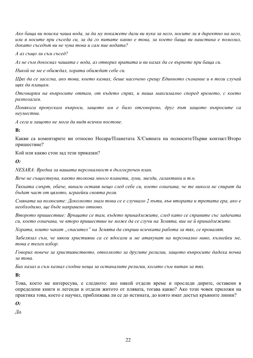Ако баша ви поиска чаша вода, за да му покажете дали ви пука за него, носите ли я директно на него, или я носите при съседа си, за да го питате какво е това, за което баща ви наистина е помолил, докато съседът ви не чува това и сам пие водата?

А аз също ли съм съсед?

Аз не съм докосвал чашата с вода, аз отворих вратата и ви казах да се върнете при баща си.

Никой не ме е обиждал, хората обиждат себе си.

Щях да се засегна, ако това, което казвах, беше насочено срещу Единното съзнание и в този случай щях да плащам.

Отговарям на въпросите оттам, от където спрях, и пиша максимално според времето, с което разполагам.

Понякога пропускам въпроси, защото им е било отговорено, друг път защото въпросите са неуместни.

А сега и зашото не мога да видя всички постове.

 $\mathbf{B}$ :

Какви са коментарите ви относно Несара/Планетата Х/Смяната на полюсите/Първи контакт/Второ пришествие?

Кой или какво стои зад тези приказки?

 $\boldsymbol{\theta}$ 

NESARA: Вредна за вашата персоналност в дългосрочен план.

Вече не съществува, както толкова много планети, луни, звезди, галактики и т.н.

Тяхната смърт, обаче, винаги оставя нещо след себе си, което означава, че те никога не спират да бъдат част от цялото, играейки своята роля.

Смяната на полюсите: Доколкото знам това се е случвало 2 пъти, във втората и третата ера, ако е необходимо, ще бъде направено отново.

Второто пришествие: Връщате се там, където принадлежите, след като се справите със задачата си, което означава, че второ пришествие не може да се случи на Земята, вие не й принадлежите.

Хората, които чакат "спасител" на Земята да свърши всичката работа за тях, се провалят.

Забелязал съм, че някои християни са се ядосали и ме атакуват на персонално ниво, кълнейки ме, това е техен избор.

Говорих повече за християнството, отколкото за другите религии, защото въпросите дадоха почва за това.

Бих казал и съм казвал сходни неща за останалите религии, когато съм питан за тях.

 $\mathbf{B}$ :

Това, което ме интересува, е следното: ако някой отдели време и проследи дирите, оставени в определени книги и легенди и отдели житото от плявата, тогава какво? Ако този човек приложи на практика това, което е научил, приближава ли се до истината, до която имат достъп кръвните линии?

 $\boldsymbol{\theta}$ 

 $\mathcal{I}a$ .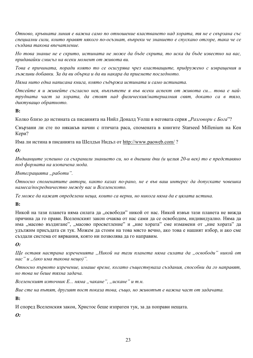Отново, кръвната линия е важна само по отношение властването над хората, тя не е свързана със специални сили, които правят някого по-осъзнат, въпреки че знанието е спускано отгоре, така че се създава такова впечатление.

Но това знание не е скрито, истината не може да бъде скрита, то иска да бъде известно на вас, придавайки смисъл на всеки момент от живота ви.

Това е причината, поради която то се осигурява чрез властвашите, придружено с изврашения и лъжливи добавки. За да ви обърка и да ви накара да приемете последното.

Няма нито една написана книга, която съдържа истината и само истината.

Отсейте я и живейте съгласно нея, въплътете я във всеки аспект от живота си... това е найтрудната част за хората, да стоят над физическия/материалния свят, докато са в тяло, диктувашо обратното.

 $\mathbf{R}$ :

Колко близо ло истината са писанията на Нийл Лоналл Уолш в неговата серия "Разговори с Бога"?

Свързани ли сте по някакъв начин с птичата раса, спомената в книгите Starseed Millenium на Кен Кери?

Има ли истина в писанията на Шелдън Нидъл от http://www.paoweb.com/?

 $\boldsymbol{\theta}$ :

Индианците успешно са съхранили знанието си, но в днешни дни (и целия 20-и век) то е представяно под формата на изопачена мода.

#### Интеграцията "работи".

Относно споменатите автори, както казах по-рано, не е във ваш интерес да допускате човешка намеса/посредничество между вас и Вселенското.

Те може да кажат определени неща, които са верни, но никога няма да е цялата истина.

#### $B:$

Никой на тази планета няма силата да "освободи" никой от нас. Никой извън тази планета не вижда причина да го прави. Вселенският закон очаква от нас сами да се освободим, индивидуално. Няма да има "масово въздигане", "масово просветление" и "ние хората" сме измамени от "ние хората" да удължим присъдата си тук. Можем да стоим на това място вечно, ако това е нашият избор, и ако сме създали система от вярвания, която ни позволява да го направим.

 $\boldsymbol{0}$ :

Ще оставя настрана изреченията "Никой на тази планета няма силата да "освободи" никой от нас" и "(ако има такова нешо)".

Относно първото изречение, имаше време, когато съществуваха създания, способни да го направят, но това не беше тяхна задача.

Вселенският източник Е... няма "чакане", "искане" и т.н.

Вие сте на пътят, другият пост показа това, също, но животът е важна част от задачата.

 $\mathbf{R}$ 

И според Вселенския закон, Христос беше изпратен тук, за да поправи нещата.

 $\boldsymbol{\theta}$ :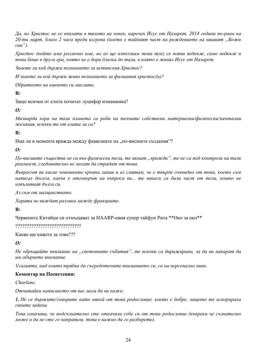Да, но Христос не се въплати в тялото на човек, наречен Исус от Назарет, 2014 години по-рано на 20-ти март, близо 2 часа преди изгрева (което е тайният част на рождението на вашият "Божи  $cuH$ ").

Христос (който има различно име, но аз ще използвам това тук) се появи веднъж, само веднъж и това беше в друга ера, която не е дори близка до тази, в която е живял Исус от Назарет.

Знаете ли кой държи познанието за истинския Христос?

И знаете ли кой държи живо познанието за фалшивия христос(и)?

Обратното на каквото си мислите.

 $\mathbf{R}$ :

Защо всички от елита почитат луцифер измамника?

 $\boldsymbol{\theta}$ :

Милиарди хора на тази планета са роби на техните собствени материални/физически/ментални желания, всички те от елита ли са?

 $\mathbf{R}$ :

Има ли в момента вражда между фамилиите на "по-висшите създания"?

 $\boldsymbol{0}$ :

По-висшите същества не са във физически тела, те нямат "вражди", те не са под контрола на тази реалност, следователно не могат да страдат от това.

Въпросът ви касае човешките кръвни линии и аз смятам, че е твърде очевидно от това, което съм написал досега, какъв е отговорът на въпроса ви... те винаги са били част от тези, които не изпълняват дълга си.

Аз съм от малцинството.

Хората не виждат разлика между фракциите.

#### $\mathbf{R}$

Червените Китайци си отмъщават за HAARP-овия супер тайфун Рита \*\*Око за око\*\*

Какво ще кажете за това???

 $\boldsymbol{0}$ :

Не обръщайте внимание на "световните събития", те всички са дирижирани, за да ви накарат да им обърнете внимание.

Усилията, над които трябва да съсредоточите вниманието си, са на персонално ниво.

#### Коментар на Посветения:

Charlane

Отчитайки написаното от вас мога да ви кажа:

1. Не се държите/говорите като някой от това родословие, което е добре, защото те игнорираха своите задачи.

Това означава, че подсъзнателно сте откачили себе си от това родословие (въпреки че съзнателно може и да не сте го направили, това е важно да го разберете).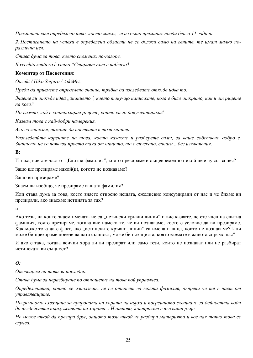Преминали сте определено ниво, което мисля, че аз също преминах преди близо 11 години.

2. Постигането на успехи в определени области не се дължи само на гените, те имат малко поразлична цел.

Става дума за това, което споменах по-нагоре.

Il vecchio sentiero è vicino \*Старият път е наблизо\*

#### Коментар от Посветения:

Oazaki / Hiko Seijuro / AikiMei,

Преди да приемете определено знание, трябва да изследвате откъде идва то.

Знаете ли откъде идва "знанието", което току-що написахте, кога е било открито, как и от ръцете на кого?

По-важно, кой е контролирал ръцете, които са го документирали?

Казвам това с най-добри намерения.

Ако го знаехте, нямаше да поствате в този маниер.

Разследвайте корените на това, което казахте и разберете сами, за ваше собствено добро е. Знанието не се появява просто така от нищото, то е спускано, винаги... без изключения.

 $\mathbf{R}$ :

И така, вие сте част от "Елитна фамилия", която презираме и същевременно никой не е чувал за нея?

Защо ще презираме някой(и), когото не познаваме?

Защо ви презираме?

Знаем ли изобщо, че презираме вашата фамилия?

Или става дума за това, което знаете относно нещата, ежедневно консумирани от нас и че бихме ви презирали, ако знаехме истината за тях?

 $\overline{M}$ 

Ако тези, на които знаем имената не са "истински кръвни линии" и вие казвате, че сте член на елитна фамилия, която презираме, тогава вие намеквате, че ви познаваме, което е условие да ви презираме. Как може това да е факт, ако "истинските кръвни линии" са имена и лица, които не познаваме? Или може би презираме повече вашата същност, може би позицията, която заемате в живота спрямо нас?

И ако е така, тогава всички хора ли ви презират или само тези, които не познават или не разбират истинската ви съшност?

#### $\boldsymbol{\theta}$ :

Отговарям на това за последно.

Става дума за неразбиране по отношение на това кой управлява.

Определенията, които се използват, не се отнасят за моята фамилия, въпреки че тя е част от управляващите.

Погрешното схващане за природата на хората на върха и погрешното схващане за дейността води до въздействие върху живота на хората... И отново, контролът е във ваши ръце.

Не може някой да презира друг, зашото този някой не разбира материята и все пак точно това се случва.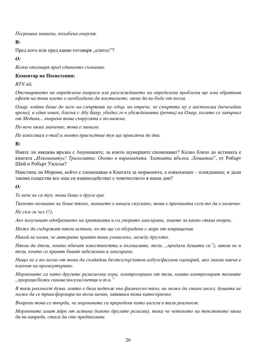Погрешна мишена, похабена енергия.

 $\mathbf{R}$ :

Пред кого или пред какво отговаря "елитът"?

 $\boldsymbol{\theta}$ :

Всеки отговаря пред единното съзнание.

#### Коментар на Посветения:

BTN nli.

Отговарянето на определени въпроси или разглеждането на определени проблеми ще има обратния ефект на това което е необходимо да постигнете, няма да ви бъде от полза.

Омар, който беше до него на смъртния му одър, но отрече, че смъртта му е настъплиа (печелейки време), и един човек, близък с Абу Бакр, убедил го в убежденията (речта) на Омар, когато се завърнал от Медина... въпреки това съпругата е по-важна.

Но вече няма значение, това е минало.

Не използвам e-mail и моето присъствие тук ще приключи до дни.

 $\mathbf{R}$ 

Имате ли някаква връзка с Ануннаките, за които шумерците споменават? Колко близо до истината е книгата "Илюминатус! Трилогията: Окото в пирамидата, Златната ябълка, Левиатан", от Робърт Ший и Робърт Уилсън?

Наистина ли Морони, който е споменаван в Книгата за мормоните, е извънземен – плеядианец; и дали такива същества все още си взаимодействат с човечеството в наши дни?

 $\boldsymbol{0}$ :

Те вече не са тук, това беше в друга ера.

Тяхното познание не беше тяхно, знанието е винаги спускано, това е причината сега то да е налично.

*Не съм ги чел*  $(?)$ .

Ако получават одобрението на критиката и са упорито лансирани, знаете за какво става въпрос.

Може да съдържат някои истини, но те ще са обградени с море от извращения.

Никой не казва, че авторите правят това умишлено, между другото.

Някои да (тези, които обичат известността и възхвалите, тези, "продали душата си"), някои не и тези, които го правят биват забелязани и лансирани.

Нищо не е по-лесно от това да създадеш бестселър/хитов албум/филмов сценарий, ако знаеш какъв е планът на промоутърите.

Мормоните са като другите религиозни хора, контролирани от тези, които контролират техните "пророци/божи синове/ангели/светци и т.н."

В тази реалност душа, която е била веднъж във физическо тяло, не може да стане ангел, душата не може да се трансформира по този начин, заявявам това категорично.

Въпреки това се твърди, че мормоните са преродени като ангели в тази реалност.

Мормоните имат ядро от истина (както другите религии), така че четенето на текстовете няма да ви навреди, стига да сте предпазливи.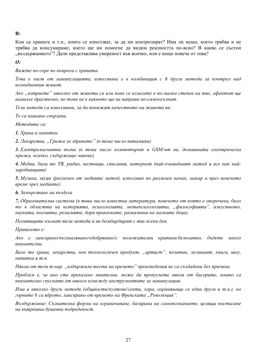#### $B:$

Кои са храните и т.н., които се използват, за да ни контролират? Има ли нещо, което трябва и не трябва да консумираме, което ще ни помогне да видим реалността по-ясно? В какво се състои "въздържанието"? Дали представлява умереност във всичко, или е нещо повече от това?

 $\boldsymbol{\Omega}$ :

Вижте по-горе по въпроса с храната.

Това е част от манипулацията, използвана е в комбинация с 6 други метода за контрол над всекидневния живот.

Ако "изтриете" няколко от живота си или поне се излагате в по-малка степен на тях, ефектът ще намалее драстично, но това не е каквото ще ви направи по-самоосъзнат.

Тези методи са използвани, за да понижат качеството на живота ви.

Те са взаимно свързани.

Memodume ca:

1. Храна и напитки

2. Лекарства, "Грижа за здравето" (в това число витамини)

3. Електромагнитни вълни (в това число компютърът и GSM-ът ви, домашната електрическа мрежа, всичко, съдържащо чипове)

4. Медии, били те ТВ, радио, вестници, списания, интернет (пай-очевидният метод и все пак найзаробвашият)

5. Музика, звуци (различен от медиите метод, използван по различен начин, макар и през повечето време чрез медиите)

6. Замърсяване на въздуха

7. Образователна система (в това число известна литература, повечето от която е опорочена, било то в областта на историята, психологията, метапсихологията, "философията", изкуството, науката, поезията, религията, дори приказките, разказвани на малките деца).

Политиците вземат тези методи и ви бомбардират с тях всеки ден.

Правилото е:

Ако е лансирано/възхвалявано/одобрявано/с положителни критики/безплатно, бъдете много внимателни.

Било то храна, лекарства, нов технологичен продукт, "артист", политик, музикант, книга, шоу, напитка и т.н.

Някои от тези т.нар. "издържали теста на времето" произведения не са създадени без причина.

Проблем е, че ако сте прекалено мнителни, може да пропуснете някои от бисерите, които са внимателно спуснати от някого измежду инструментите за манипулация.

Има и няколко други методи (общности/култове/секти, хора, охраняващи се едни други и т.н.), но горните 6 са ядрото, лансирано от времето на Френската "Революция".

Въздържание: Съзнателна форма на ограничаване, базирана на самопознанието, целяща постигане на вътрешна душевна подреденост.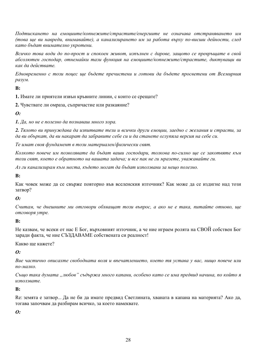Подтискането на емоциите/копнежите/страстите/енергиите не означава отстраняването им (това ще ви навреди, внимавайте), а канализирането им за работа върху по-висши дейности, след като бъдат внимателно укротени.

Всичко това води до по-прост и спокоен живот, изпълнен с дарове, защото се превръщате в свой абсолютен господар, отнемайки тази функция на емоциите/копнежите/страстите, диктуващи ви как да действате.

Едновременно с този поиес ше бъдете пречистени и готови да бъдете просветени от Всемирния разум.

#### $\mathbf{R}$ :

1. Имате ли приятели извън кръвните линии, с които се срещате?

2. Чувствате ли омраза, съпричастие или разкаяние?

#### $\boldsymbol{\theta}$ :

1. Да, но не е полезно да познаваш много хора.

2. Тялото ви принуждава да изпитвате тези и всички други емоции, заедно с желания и страсти, за да ви объркат, да ви накарат да забравите себе си и да станете оглупяла версия на себе си.

Те имат своя фундамент в този материален/физически свят.

Колкото повече им позволявате да бъдат ваши господари, толкова по-силно ще се закотвяте към този свят, което е обратното на вашата задача; и все пак не ги мразете, уважавайте ги.

Аз ги канализирам към места, където могат да бъдат използвани за нещо полезно.

 $\mathbf{R}$ :

Как човек може да се свърже повторно във вселенския източник? Как може да се издигне над този затвор?

#### $\boldsymbol{\theta}$ :

Считам, че днешните ми отговори обхващат този въпрос, а ако не е така, питайте отново, ще отговоря утре.

#### $\mathbf{R}$ :

Не казвам, че всеки от нас Е Бог, върховният източник, а че ние играем ролята на СВОЙ собствен Бог заради факта, че ние СЪЗДАВАМЕ собствената си реалност!

Какво ше кажете?

#### $\boldsymbol{\theta}$ :

Вие частично описахте свободната воля и впечатлението, което тя устава у вас, нищо повече или по-малко.

Също така думата "любов" съдържа много капани, особено като се има предвид начина, по който я използвате.

#### $\mathbf{R}$

Ве: земята е затвор... Да не би да имате предвид Светлината, хваната в капана на материята? Ако да, тогава започвам да разбирам всичко, за което намеквате.

#### $\boldsymbol{\theta}$ :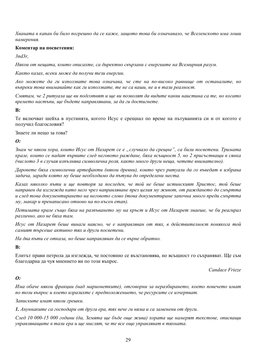Хваната в капан би било погрешно да се каже, зашото това би означавало, че Вселенското има лоши намерения.

#### Коментар на посветения:

 $3n\frac{3}{r}$ .

Някои от нещата, които описахте, са директно свързани с енергиите на Всемирния разум.

Както казах, всеки може да получи тези енергии.

Ако можете да ги използвате това означава, че сте на по-високо равнище от останалите, но въпреки това внимавайте как ги използвате, те не са ваши, не и в тази реалност.

Смятам, че 2 ритуала ше ви подготвят и ше ви позволят да видите какви наистина са те, но когато времето настъпи, ще бъдете направлявани, за да ги достигнете.

 $\mathbf{R}$ :

Те включват шейха в пустинята, когото Исус е срещнал по време на пътуванията си и от когото е получил благословия?

Знаете ли нешо за това?

 $\boldsymbol{\theta}$ 

Знам че някои хора, които Исус от Назарет се е "случвало да срешне", са били посветени. Тримата крале, които се падат първите след неговото раждане, бяха всъщност 5, но 2 присъстващи в сянка (числото 3 в случая изпълнява символична роля, както много други неша, четете внимателно).

Даровете бяха символични артефакти (някои древни), които чрез ритуали да го въведат в избрана задача, заради която му беше необходимо да пътува до определени места.

Казах няколко пъти и ще повторя за последен, че той не беше истинският Христос, той беше направен да изглежда като него чрез направляване през целия му живот, от раждането до смъртта и след това документирането на неговото слово (това документиране започна много преди смъртта му, макар и пренаписано отново на по-късен етап).

Петимата крале също бяха на разпъването му на кръст и Исус от Назарет знаеше, че би реагирал различно, ако не бяха там.

Исус от Назарет беше винаги наясно, че е направляван от тях, в действителност понякога той самият търсеше активно тях и други посветени.

На два пъти се отказа, но беше направляван да се върне обратно.

 $\mathbf{R}$ 

Елитът прави петрола да изглежда, че постоянно се възстановява, но всъщност го съхраняват. Ще съм благодарна да чуя мнението ви по този въпрос.

Candace Frieze

#### $\boldsymbol{\Omega}$ :

Има обаче някои фракции (над марионетките), отговорни за неразбирането, което повечето имат по този въпрос и което изразихте с предположението, че ресурсите се изчерпват.

Записките имат някои грешки.

1. Ануннаките са господари от друга ера, тях вече ги няма и са заменени от други.

След 10 000-15 000 години (да, Земята ще бъде още жива) хората ще намерят текстове, описващи управляващите в тази ера и ще мислят, че те все още управляват в тяхната.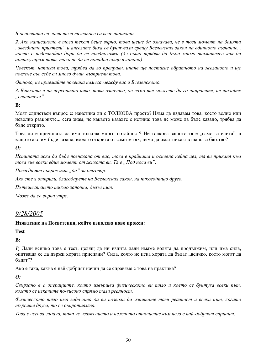В основната си част тези текстове са вече написани.

2. Ако написаното в този текст беше вярно, това щеше да означава, че в този момент на Земята "звездните приятели" и ангелите биха се бунтували срещу Вселенския закон на единното съзнание... което е недостойно дори да се предположи (Аз също трябва да бъда много внимателен как да артикулирам това, така че да не попадна също в капана).

Човекът, написал това, трябва да го преправи, иначе ше постигне обратното на желаното и ше повлече със себе си много души, възприели това.

Отново, не приемайте човешка намеса между вас и Вселенското.

3. Битката е на персонално ниво, това означава, че само вие можете да го направите, не чакайте  $...$ *cnacumenu*".

 $\mathbf{B}$ :

Моят единствен въпрос е: наистина ли е ТОЛКОВА просто? Няма да издавам това, което волно или неволно разкрихте... сега знам, че каквото казахте е истина: това не може ла бъле казано, трябва ла бъде открито.

Това ли е причината да има толкова много потайност? Не толкова защото тя е "само за елита", а зашото ако им бъле казана, вместо открита от самите тях, няма ла имат никакъв шанс за бягство?

 $\boldsymbol{\Omega}$ :

Истината иска да бъде познавана от вас, това е крайната и основна нейна иел, тя ви приканя към това във всеки един момент от живота ви. Тя е "Под носа ви".

Последният въпрос има "да" за отговор.

Ако сте я открили, благодарете на Вселенския закон, на никого/нищо друго.

Пътешествието тъкмо започна, дълъг път.

Може да се върна утре.

# 9/28/2005

#### Изявление на Посветения, който използва ново прокси:

**Test** 

 $\mathbf{R}$ :

1) Дали всичко това е тест, целящ да ни изпита дали имаме волята да продължим, или има сила, опитваша се да държи хората приспани? Сила, която не иска хората да бъдат "всичко, което могат да бълат"?

Ако е така, какъв е най-добрият начин да се справяме с това на практика?

 $\boldsymbol{\theta}$ :

Свързано е с операциите, които извършва физическото ви тяло и което се бунтува всеки път, когато се изкачите по-високо спрямо тази реалност.

Физическото тяло има задачата да ви позволи да изпитате тази реалност и всеки път, когато търсите друга, то се съпротивлява.

Това е негова задача, така че уважението и нежното отношение към него е най-добрият вариант.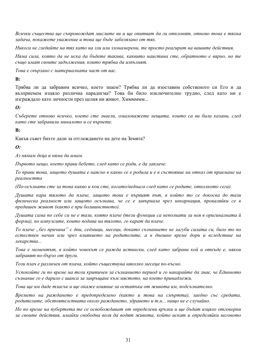Всички същества ще съпровождат мислите ви и ще опитват да ги отклонят, отново това е тяхна задача, покажете уважение и това ще бъде забелязано от тях.

Никога не гледайте на тях като на зли или злонамерени, те просто реагират на вашите действия.

Няма сила, която да не иска да бъдете такива, каквито наистина сте, обратното е вярно, но те също имат своите задължения, които трябва да изпълнят.

Това е свързано с материалната част от вас.

#### $\mathbf{R}$ :

Трябва ли да забравим всичко, което знаем? Трябва ли да изоставим собственото си Его и да възприемем изцяло различна парадигма? Това би било изключително трудно, след като ни е изграждало като личности през целия ни живот. Хмммммм...

#### $\boldsymbol{\theta}$ :

Съберете отново всичко, което сте знаели, омаловажете нещата, които са ви били казани, след като сте забравили миналото и се върнете.

#### $\mathbf{B}$ :

Какъв съвет бихте дали за отглеждането на дете на Земята?

#### $\boldsymbol{\theta}$ :

Аз нямам деца и няма да имам.

Първото нещо, което прави бебето, след като се роди, е да заплаче.

То прави това, защото душата е наясно в какво се е родила и е в състояние на отказ от приемане на реалността

(По-осъзнати сте за това какво и кои сте, когато/веднага след като се родите, отколкото сега).

Душата кара тялото да плаче, защото това е първият път, в който то се докосва до тази физическа реалност или зашото осъзнава, че се е завърнала чрез инкарнация, проваляйки се в предишен живот (както е при болшинството).

Душата сама по себе си не е тази, която плаче (тези функции са непознати за нея в оригиналната й форма), но импулсите, които подава на тялото, го карат да плаче.

То плаче "без причина" с дни, седмици, месеци, докато съзнанието не загуби силата си, било то по естествен начин или чрез влиянието на родителите, а в днешно време дори и вследствие на лекарства...

Това е моментът, в който човекът се ражда истински, след като забрави кой и откъде е, някои забравят по-бързо от други.

Този плач е различен от плача, който съществува няколко месеца по-късно.

Успокойте ги по време на този критичен за съзнанието период и го накарайте да знае, че Единното съзнание го е дарило с шанса за завръщане към мястото, на което принадлежи.

Това ше им даде тласък и ще окаже влияние за остатъка от живота им, подсъзнателно.

Времето на раждането е предопределено (както и това на смъртта), заедно със средата, родителите, обстоятелствата около раждането, здравето и т.н... нищо не е случайно.

Но по време на пубертета те се освобождават от определени връзки и ше бъдат изияло отговорни за своите действия, имайки свободна воля да водят живота, който искат и определяйки неговото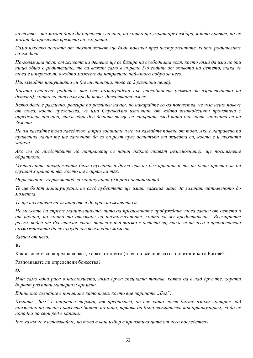качество... те могат дори да определяч начина, по който ще умрат чрез избора, който правят, но не могат да променят времето на смъртта.

Само няколко аспекта от техния живот ще бъде повлиян чрез инструментите, които родителите са им дали.

По-голямата част от живота на детето ще се базира на свободната воля, което няма да има почти нишо обшо с родителите, те са важни само в първте 5-6 години от живота на детето, така че това е и периодът, в който можете да направите най-много добро за него.

Използвайте интуицията си (не инстинкта, това са 2 различни неща).

Когато станете родител, вие сте възнаградени със способности (важни за израстването на детето), които са липсвали преди това, доверявайте им се.

Всяко дете е различно, реагира по различен начин, но накарайте го да почувства, че има нещо повече от това, което преживява, че има Справедлив източник, от който всичко/всички произтича с определена причина, така един ден децата ви ще се завърнат, след като осъзнаят задачата си на Земята.

Не им казвайте това наведнъж, а през годините и не им казвайте повече от това. Ако е направено по правилния начин те ще започнат да го търсят през остатъка от живота си, което е и тяхната задача.

Ако им го представите по натрапващ се начин (както правят религиозните), ще постигнете обратното.

Музикалните инструменти бяха спуснати в друга ера не без причина и тя не беше просто за да слушат хората това, което те свирят на тях.

Образование: първи метод за манипулация (изброих останалите).

Те ще бъдат манипулирани, но след пубертета ще имат важния шанс да заличат направеното до момента.

Те ше получават тези шансове и до края на живота си.

Не можете да спрете манипулацията, нито да предизвикате пробуждане, това зависи от детето и от начина, по който то отговаря на инструментите, които са му предоставени... Всемирният разум, воден от Вселенския закон, винаги е във връзка с детето ви, така че на него е предоставена възможността да се събуди във всеки един момент.

Зависи от него.

 $\mathbf{R}$ 

Какво знаете за напреднала раса, хората от която (и някои все още са) са почитани като Богове?

Разпознавате ли определени божества?

 $\boldsymbol{0}$ :

Има само една раса в настоящето, няма друга специална такава, която да е над другите, хората бъркат различни материи и времена.

Единното съзнание е почитано като това, което вие наричате "Бог".

Думата "Бог" е опорочен термин, тя предполага, че вие като човек бихте имали контрол над призовано по-висше същество (както по-рано, трябва да бъда внимателен как артикулирам, за да не попадна на свой ред в капана).

Бих казал не я използвайте, но това е ваш избор с произтичащите от него последствия.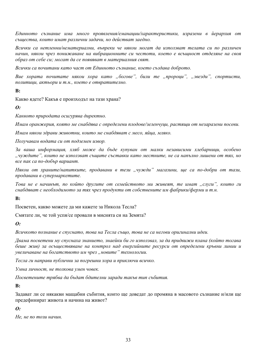Единното съзнание има много проявления/еманации/характеристики, изразени в йерархия от същества, които имат различни задачи, но действат заедно.

Всички са нетленни/нематериални, въпреки че някои могат да използват телата си по различен начин, някои чрез понижаване на вибрационните си честоти, което е всъщност отделяне на своя образ от себе си; могат да се появяват в материалния свят.

Всички са почитани като част от Единното съзнание, което създава доброто.

Вие хората почитате някои хора като "богове", били те "пророци", "звезди", спортисти, политици, актьори и т.н., което е отвратително.

 $B:$ 

Какво ядете? Какъв е произходът на тази храна?

 $\boldsymbol{\theta}$ :

Каквото природата осигурява директно.

Имам оранжерия, която ме снабдява с определени плодове/зеленчуии, растяши от незаразени посеви.

Имам някои здрави животни, които ме снабдяват с месо, яйца, мляко.

Получавам водата си от подземен извор.

За ваша информация, хляб може да бъде купуван от малки независими хлебарници, особено "чуждите", които не използват същите съставки като местните, не са напълно лишени от тях, но все пак са по-добър вариант.

Някои от храните/напитките, продавани в тези "чужди" магазини, ще са по-добри от тази, продавани в супермаркетите.

Това не е начинът, по който другите от семейството ми живеят, те имат "слуги", които ги снабдяват с необходимото за тях чрез продукти от собствените им фабрики/ферми и т.н.

 $\mathbf{B}$ :

Посветен, какво можете да ми кажете за Никола Тесла?

Смятате ли, че той успя/се провали в мисията си на Земята?

 $\boldsymbol{0}$ :

Всичкото познание е спуснато, това на Тесла също, това не са негови оригинални идеи.

Двама посветени му спуснаха знанието, знаейки би го използвал, за да придвижи плана (който тогава беше жив) за осъществяване на контрол над енергийните ресурси от определени кръвни линии и увеличаване на богатството им чрез "новите" технологии.

Тесла ги направи публични за погрешни хора и приключи всичко.

Умна личност, не толкова умен човек.

Посветените трябва да бъдат бдителни заради такъв тип събития.

 $\mathbf{B}$ :

Задават ли се някакви мащабни събития, които ще доведат до промяна в масовото съзнание и/или ще предефинират живота и начина на живот?

#### $\boldsymbol{\Omega}$ :

Не, не по този начин.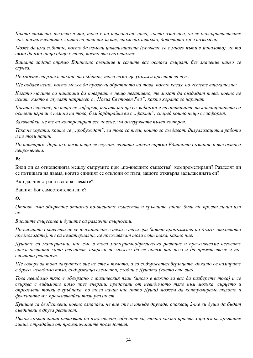Както споменах няколко пъти, това е на персонално ниво, което означава, че се осъвършенствате чрез инструментите, които са налични за вас, споменах няколко, доколкото ми е позволено.

Може да има събитие, което да измени цивилизацията (случвало се е много пъти в миналото), но то няма да има нищо общо с това, което вие споменахте.

Вашата задача спрямо Единното съзнание и самите вас остава същият, без значение какво се случва.

Не хабете енергия в чакане на събития, това само ще удължи престоя ви тук.

Ше добавя нещо, което може да прозвучи обратното на това, което казах, но четете внимателно:

Когато масите са накарани да повярват в нещо негативно, те могат да създадат това, което не искат, както е случаят например с "Новия Световен Ред", както хората го наричат.

Когато вярвате, че нещо се заформя, тогава то ще се заформи и теоритиците на конспирацията са основни играчи в помощ на това, бомбардирайки ви с "факти", според които нещо се заформя.

Заявявайки, че те ви контролират все повече, им осигурявате пълен контрол.

Така че хората, които се "пробуждат", за това са тези, които го създават. Визуализацията работи и по този начин.

Но повтарям, дори ако тези неша се случат, вашата задача спрямо Единното съзнание и вас остава непроменена.

#### $\mathbf{B}$ :

Били ли са отношенията между съпрузите при "по-висшите същества" компрометирани? Разделят ли се пътищата на двама, когато единият се отклони от пътя, защото отхвърля задълженията си?

Ако да, чия страна в спора заемате?

Вашият Бог самостоятелен ли е?

 $\boldsymbol{\theta}$ :

Отново, има объркване относно по-висшите същества и кръвните линии, били те кръвни линии или  $H\rho$ 

Висшите същества и душите са различни същности.

По-висшите същества не се въплащават в тела в тази ера (която продължава по-дълго, отколкото предполагате), те са нематериални, не преживяват този свят така, както ние,

Душите са материални, ние сме в това материално/физическо равнище и преживяваме неговите ниски честоти като реалност, въпреки че можем да се носим над него и да преживяваме и повисшата реалност.

Ще говоря за това накратко; вие не сте в тялото, а го съдържате/обгръщате, докато се намирате в друго, невидимо тяло, съдържащо елементи, сходни с Душата (което сте вие).

Това невидимо тяло е обвързано с физическия план (много е важно за вас да разберете това) и се свързва с видимото тяло чрез енергии, предавани от невидимото тяло към мозъка, сърцето и определени точки в гръбнака, по този начин ние (като Души) можем да контролираме тялото и функциите му, преживявайки тази реалност.

Душите са двойствени, което означава, че вие сте и някъде другаде, очакващ 2-те ви души да бъдат съединени в друга реалност.

Някои кръвни линии отказват да изпълняват задачите си, точно както правят хора извън кръвните линии, страдайки от произтичащите последствия.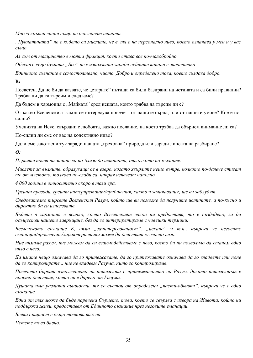Много кръвни линии също не осъзнават нещата.

"Пукнатината" не е където си мислите, че е, тя е на персонално ниво, което означава у мен и у вас също.

Аз съм от малцинство в моята фракция, което става все по-малобройно.

Обясних защо думата "Бог" не е използвана заради нейните капани в значението.

Единното съзнание е самостоятелно, чисто, Добро и определено това, което създава добро.

 $\mathbf{B}$ :

Посветен. Да не би да казвате, че "старите" пътища са били базирани на истината и са били правилни? Трябва ли да ги търсим и следваме?

Да бъдем в хармония с "Майката" сред нещата, които трябва да търсим ли е?

От какво Вселенският закон се интересува повече – от нашите сърца, или от нашите умове? Кое е посилно?

Ученията на Исус, свързани с любовта, важно послание, на което трябва да обърнем внимание ли са?

По-силни ли сме от вас на колективно ниво?

Дали сме закотвени тук заради нашата "греховна" природа или заради липсата на разбиране?

 $\boldsymbol{\Omega}$ :

Първите появи на знание са по-близо до истината, отколкото по-късните.

Мислете за вълните, образуващи се в езеро, когато хвърлите нешо вътре, колкото по-далече стигат те от мястото, толкова по-слаби са, накрая изчезват напълно.

4 000 години е относително скоро в тази ера.

Грешни преводи, грешни интерпретации/прибавяния, както и заличавания; ще ви заблудят.

Следователно търсете Вселенския Разум, който ще ви помогне да получите истините, а по-късно и директно да ги използвате.

Бъдете в хармония с всичко, което Вселенският закон ни предоставя, то е създадено, за да осъществи нашето завръщане, без да го интерпретираме с човешки термини.

Вселенското съзнание Е, няма "заинтересованост", "искане" и т.н., въпреки че неговите еманации/проявления/характеристики може да действат съгласно него.

Ние нямаме разум, ние можем да си взаимодействаме с него, което би ни позволило да станем едно ияло с него.

Да имате нещо означава да го притежавате, да го притежавате означава да го владеете или поне да го контролирате... ние не владеем Разума, нито го контролираме.

Повечето бъркат използването на интелекта с притежаването на Разум, докато интелектът е просто действие, което ни е дарено от Разума.

Душата има различни същности, тя се състои от определени "части-обвивки", въпреки че е едно създание.

Една от тях може да бъде наречена Сърцето, това, което се свързва с извора на Живота, който ни поддържа живи, предоставен от Единното съзнание чрез неговите еманации.

Всяка същност е също толкова важна.

Четете това бавно: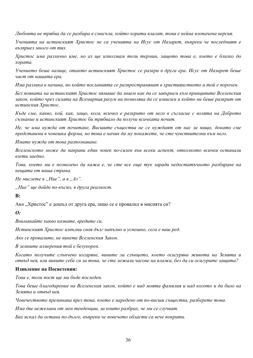Любовта не трябва да се разбира в смисъла, който хората влагат, това е нейна изопачена версия.

Ученията на истинският Христос не са ученията на Исус от Назарет, въпреки че последният е възприел много от тях.

Христос има различно име, но аз ще използвам този термин, защото това е, което е близко до хората.

Учението беше налице, отакто истинският Христос се разкри в друга ера. Исус от Назарет беше част от нашата ера.

Има разлика в начина, по който посланията се разпространяват в християнството и той е порочен.

Без появата на истинският Христос нямаше да знаем как да се завърнем към принципите Вселенския закон, който чрез силата на Всемирния разум ни позволява да се извисим и който ни беше разкрит от истинския Христос.

Къде сме, какво, кой, как, защо, кога, всичко е разкрито от него в съгласие с волята на Доброто съзнание и истинският Христос би трябвало да получи всичката почит.

Не, че има нужда от почитане, Висшите същества не се нуждаят от нас за нищо, докато сме представени в човешка форма, но това е начин да му покажете, че сте чувствителни към него.

Имате нужда от това разпознаване.

Вселенското може да направи един човек по-силен във всеки аспект, отколкото всички останали взети заедно.

Това, което ми е позволено да кажа е, че сте все още тук заради недостатъчното разбиране на нешата от ваша страна.

Не мислете в "Ние", а в "Аз".

"Ние" ще дойде по-късно, в друга реалност.

 $\mathbf{B}$ :

Ако "Христос" е дошъл от друга ера, защо се е провалил в мисията си?

 $\boldsymbol{\theta}$ 

Внимавайте какво казвате, вредите си.

Истинският Христос изпълни своя дълг напълно и успешно, сега е ваш ред.

Ако се провалите, не винете Вселенския Закон.

В земните измерения той е безукорен.

Когато получите слънчево изгаряне, вините ли слънцето, което осигурява живота на Земята и отвъд нея, или вините себе си за това, че сте лежали часове на плажа, без да си осигурите защита?

#### Изявление на Посветения:

Това е, този пост ше ми бъде последен.

Това беше благодарение на Вселенския закон, който е над моята фамилия и над когото и да било на Земята и отвъд нея.

Човечеството преминава през това, което е наредено от по-висши същества, разберете това.

Има две нежелани от мен тенденции, за които разбрах, че ми се случват.

Бих искал да остана по-дълго, въпреки че повечето области са вече покрити.